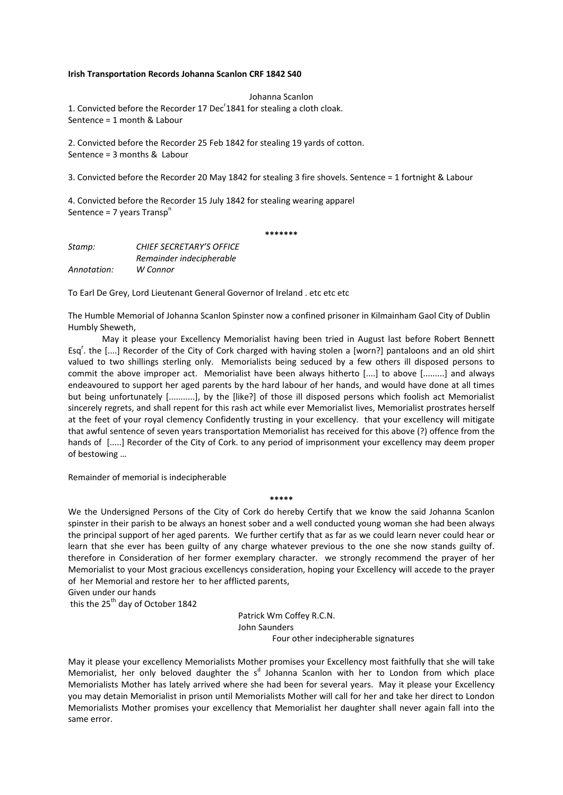## **Irish Transportation Records Johanna Scanlon CRF 1842 S40**

Johanna Scanlon 1. Convicted before the Recorder 17 Dec<sup>r</sup>1841 for stealing a cloth cloak. Sentence = 1 month & Labour

2. Convicted before the Recorder 25 Feb 1842 for stealing 19 yards of cotton. Sentence = 3 months & Labour

3. Convicted before the Recorder 20 May 1842 for stealing 3 fire shovels. Sentence = 1 fortnight & Labour

4. Convicted before the Recorder 15 July 1842 for stealing wearing apparel Sentence =  $7$  years Transp<sup>n</sup>

**\*\*\*\*\*\*\***

| Stamp:      | <b>CHIEF SECRETARY'S OFFICE</b> |
|-------------|---------------------------------|
|             | Remainder indecipherable        |
| Annotation: | W Connor                        |

To Earl De Grey, Lord Lieutenant General Governor of Ireland . etc etc etc

The Humble Memorial of Johanna Scanlon Spinster now a confined prisoner in Kilmainham Gaol City of Dublin Humbly Sheweth,

May it please your Excellency Memorialist having been tried in August last before Robert Bennett Esq'. the [....] Recorder of the City of Cork charged with having stolen a [worn?] pantaloons and an old shirt valued to two shillings sterling only. Memorialists being seduced by a few others ill disposed persons to commit the above improper act. Memorialist have been always hitherto [....] to above [.........] and always endeavoured to support her aged parents by the hard labour of her hands, and would have done at all times but being unfortunately [...........], by the [like?] of those ill disposed persons which foolish act Memorialist sincerely regrets, and shall repent for this rash act while ever Memorialist lives, Memorialist prostrates herself at the feet of your royal clemency Confidently trusting in your excellency. that your excellency will mitigate that awful sentence of seven years transportation Memorialist has received for this above (?) offence from the hands of [.....] Recorder of the City of Cork. to any period of imprisonment your excellency may deem proper of bestowing …

Remainder of memorial is indecipherable

**\*\*\*\*\***

We the Undersigned Persons of the City of Cork do hereby Certify that we know the said Johanna Scanlon spinster in their parish to be always an honest sober and a well conducted young woman she had been always the principal support of her aged parents. We further certify that as far as we could learn never could hear or learn that she ever has been guilty of any charge whatever previous to the one she now stands guilty of. therefore in Consideration of her former exemplary character. we strongly recommend the prayer of her Memorialist to your Most gracious excellencys consideration, hoping your Excellency will accede to the prayer of her Memorial and restore her to her afflicted parents,

Given under our hands

this the 25<sup>th</sup> day of October 1842

 Patrick Wm Coffey R.C.N. John Saunders Four other indecipherable signatures

May it please your excellency Memorialists Mother promises your Excellency most faithfully that she will take Memorialist, her only beloved daughter the s<sup>d</sup> Johanna Scanlon with her to London from which place Memorialists Mother has lately arrived where she had been for several years. May it please your Excellency you may detain Memorialist in prison until Memorialists Mother will call for her and take her direct to London Memorialists Mother promises your excellency that Memorialist her daughter shall never again fall into the same error.